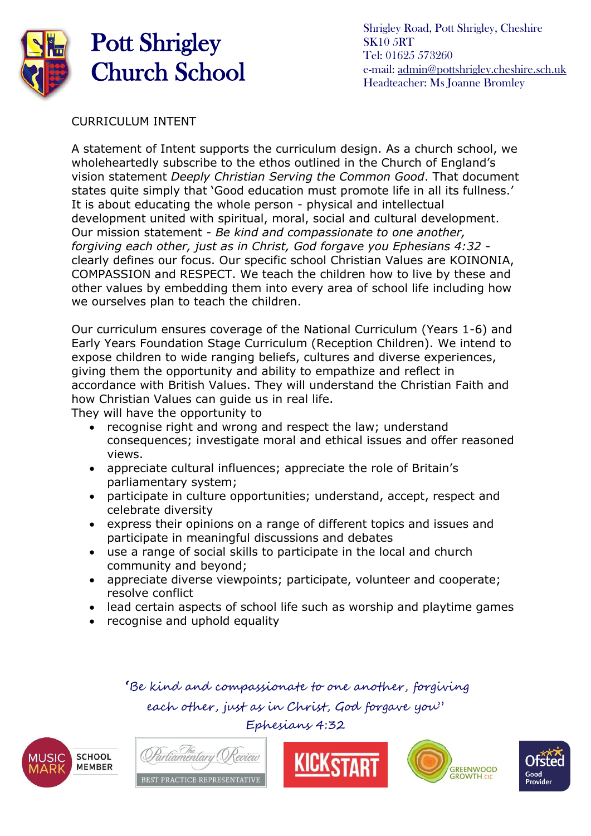

# Pott Shrigley Church School

Shrigley Road, Pott Shrigley, Cheshire SK10 5RT Tel: 01625 573260 e-mail: [admin@pottshrigley.cheshire.sch.uk](mailto:admin@pottshrigley.cheshire.sch.uk) Headteacher: Ms Joanne Bromley

CURRICULUM INTENT

A statement of Intent supports the curriculum design. As a church school, we wholeheartedly subscribe to the ethos outlined in the Church of England's vision statement *Deeply Christian Serving the Common Good*. That document states quite simply that 'Good education must promote life in all its fullness.' It is about educating the whole person - physical and intellectual development united with spiritual, moral, social and cultural development. Our mission statement - *Be kind and compassionate to one another, forgiving each other, just as in Christ, God forgave you Ephesians 4:32*  clearly defines our focus. Our specific school Christian Values are KOINONIA, COMPASSION and RESPECT. We teach the children how to live by these and other values by embedding them into every area of school life including how we ourselves plan to teach the children.

Our curriculum ensures coverage of the National Curriculum (Years 1-6) and Early Years Foundation Stage Curriculum (Reception Children). We intend to expose children to wide ranging beliefs, cultures and diverse experiences, giving them the opportunity and ability to empathize and reflect in accordance with British Values. They will understand the Christian Faith and how Christian Values can guide us in real life.

They will have the opportunity to

- recognise right and wrong and respect the law; understand consequences; investigate moral and ethical issues and offer reasoned views.
- appreciate cultural influences; appreciate the role of Britain's parliamentary system;
- participate in culture opportunities; understand, accept, respect and celebrate diversity
- express their opinions on a range of different topics and issues and participate in meaningful discussions and debates
- use a range of social skills to participate in the local and church community and beyond;
- appreciate diverse viewpoints; participate, volunteer and cooperate; resolve conflict
- lead certain aspects of school life such as worship and playtime games
- recognise and uphold equality

 **'**Be kind and compassionate to one another, forgiving each other, just as in Christ, God forgave you" Ephesians 4:32









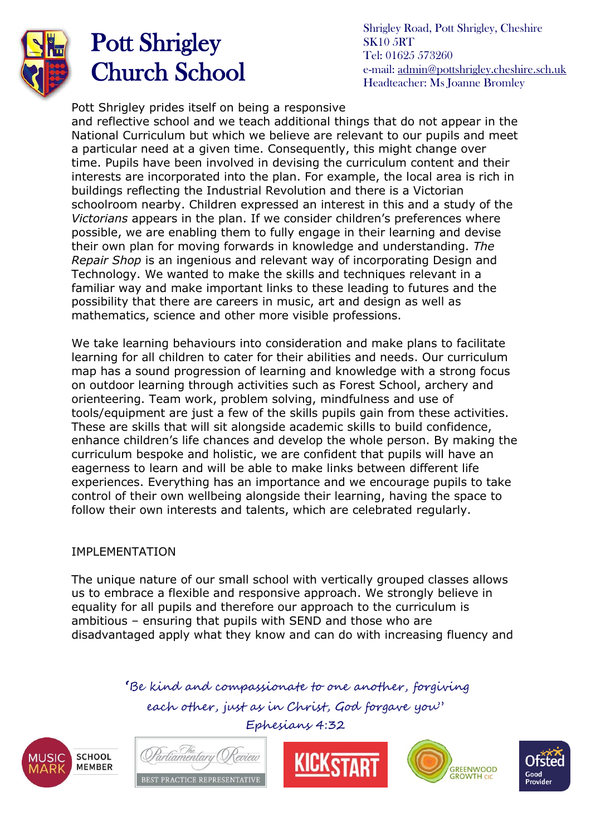

### Pott Shrigley Church School

Shrigley Road, Pott Shrigley, Cheshire SK10 5RT Tel: 01625 573260 e-mail: [admin@pottshrigley.cheshire.sch.uk](mailto:admin@pottshrigley.cheshire.sch.uk) Headteacher: Ms Joanne Bromley

Pott Shrigley prides itself on being a responsive

and reflective school and we teach additional things that do not appear in the National Curriculum but which we believe are relevant to our pupils and meet a particular need at a given time. Consequently, this might change over time. Pupils have been involved in devising the curriculum content and their interests are incorporated into the plan. For example, the local area is rich in buildings reflecting the Industrial Revolution and there is a Victorian schoolroom nearby. Children expressed an interest in this and a study of the *Victorians* appears in the plan. If we consider children's preferences where possible, we are enabling them to fully engage in their learning and devise their own plan for moving forwards in knowledge and understanding. *The Repair Shop* is an ingenious and relevant way of incorporating Design and Technology. We wanted to make the skills and techniques relevant in a familiar way and make important links to these leading to futures and the possibility that there are careers in music, art and design as well as mathematics, science and other more visible professions.

We take learning behaviours into consideration and make plans to facilitate learning for all children to cater for their abilities and needs. Our curriculum map has a sound progression of learning and knowledge with a strong focus on outdoor learning through activities such as Forest School, archery and orienteering. Team work, problem solving, mindfulness and use of tools/equipment are just a few of the skills pupils gain from these activities. These are skills that will sit alongside academic skills to build confidence, enhance children's life chances and develop the whole person. By making the curriculum bespoke and holistic, we are confident that pupils will have an eagerness to learn and will be able to make links between different life experiences. Everything has an importance and we encourage pupils to take control of their own wellbeing alongside their learning, having the space to follow their own interests and talents, which are celebrated regularly.

#### IMPLEMENTATION

The unique nature of our small school with vertically grouped classes allows us to embrace a flexible and responsive approach. We strongly believe in equality for all pupils and therefore our approach to the curriculum is ambitious – ensuring that pupils with SEND and those who are disadvantaged apply what they know and can do with increasing fluency and

> **'**Be kind and compassionate to one another, forgiving each other, just as in Christ, God forgave you"

> > Ephesians 4:32